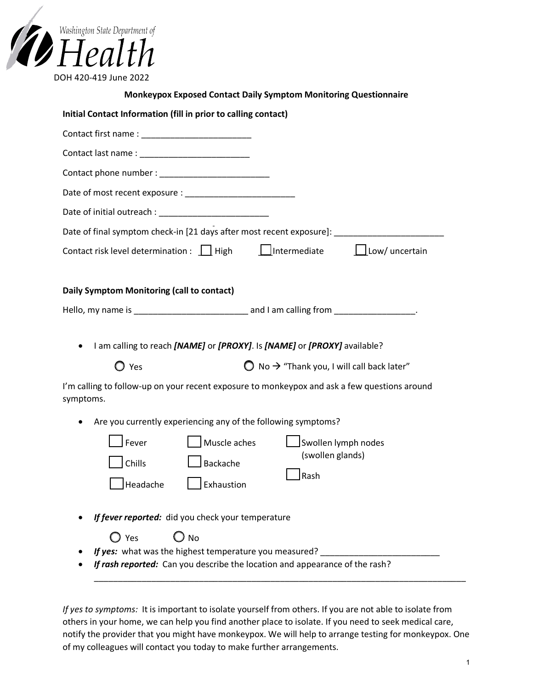| Washington State Department of |  |
|--------------------------------|--|
| Health                         |  |
| DOH 420-419 June 2022          |  |

| <b>Monkeypox Exposed Contact Daily Symptom Monitoring Questionnaire</b>                                                                                                                                                                                        |
|----------------------------------------------------------------------------------------------------------------------------------------------------------------------------------------------------------------------------------------------------------------|
| Initial Contact Information (fill in prior to calling contact)                                                                                                                                                                                                 |
|                                                                                                                                                                                                                                                                |
|                                                                                                                                                                                                                                                                |
|                                                                                                                                                                                                                                                                |
|                                                                                                                                                                                                                                                                |
|                                                                                                                                                                                                                                                                |
| Date of final symptom check-in [21 days after most recent exposure]: _______________________________                                                                                                                                                           |
| Intermediate Low/ uncertain<br>Contact risk level determination : $\Box$ High                                                                                                                                                                                  |
| Daily Symptom Monitoring (call to contact)                                                                                                                                                                                                                     |
|                                                                                                                                                                                                                                                                |
| I am calling to reach [NAME] or [PROXY]. Is [NAME] or [PROXY] available?<br>$\bigcirc$ No $\rightarrow$ "Thank you, I will call back later"<br>$\mathbf O$ Yes<br>I'm calling to follow-up on your recent exposure to monkeypox and ask a few questions around |
| symptoms.                                                                                                                                                                                                                                                      |
| Are you currently experiencing any of the following symptoms?<br>Muscle aches<br>Swollen lymph nodes<br>Fever<br>(swollen glands)<br>Chills<br>Backache<br>$\bigsqcup$ Rash<br>Headache<br>Exhaustion                                                          |
| If fever reported: did you check your temperature<br>$\bigcirc$ No<br>$\bigcirc$ Yes<br>If yes: what was the highest temperature you measured?<br>If rash reported: Can you describe the location and appearance of the rash?                                  |
|                                                                                                                                                                                                                                                                |

*If yes to symptoms:* It is important to isolate yourself from others. If you are not able to isolate from others in your home, we can help you find another place to isolate. If you need to seek medical care, notify the provider that you might have monkeypox. We will help to arrange testing for monkeypox. One of my colleagues will contact you today to make further arrangements.